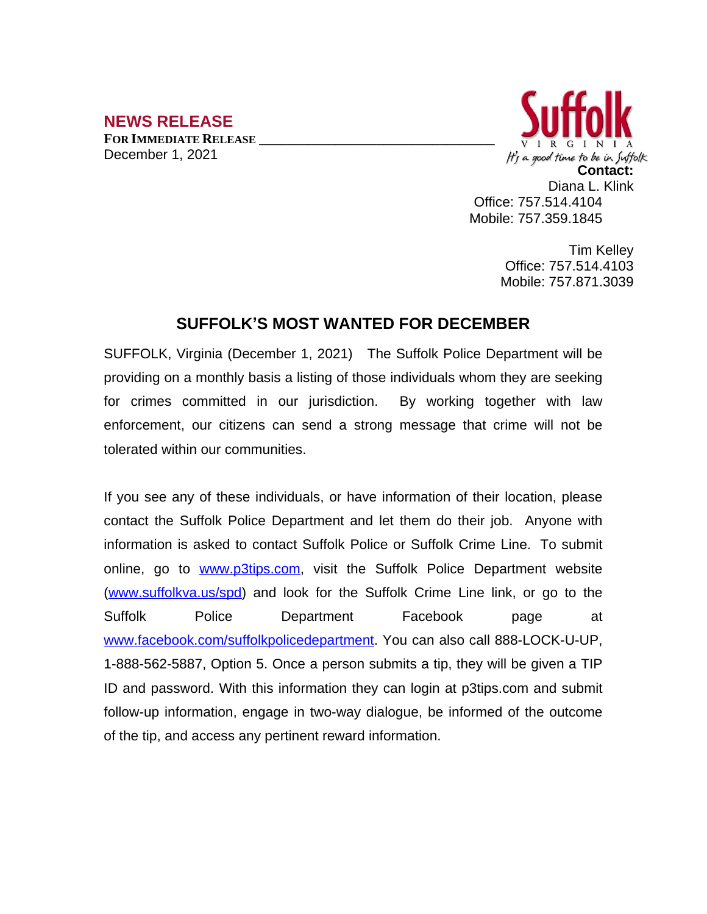## **NEWS RELEASE**

**FOR IMMEDIATE RELEASE \_\_\_\_\_\_\_\_\_\_\_\_\_\_\_\_\_\_\_\_\_\_\_\_\_\_\_\_\_\_\_\_\_\_** December 1, 2021



Tim Kelley Office: 757.514.4103 Mobile: 757.871.3039

## **SUFFOLK'S MOST WANTED FOR DECEMBER**

SUFFOLK, Virginia (December 1, 2021) The Suffolk Police Department will be providing on a monthly basis a listing of those individuals whom they are seeking for crimes committed in our jurisdiction. By working together with law enforcement, our citizens can send a strong message that crime will not be tolerated within our communities.

If you see any of these individuals, or have information of their location, please contact the Suffolk Police Department and let them do their job. Anyone with information is asked to contact Suffolk Police or Suffolk Crime Line. To submit online, go to [www.p3tips.com](http://www.p3tips.com), visit the Suffolk Police Department website ([www.suffolkva.us/spd](http://www.suffolkva.us/spd)) and look for the Suffolk Crime Line link, or go to the Suffolk Police Department Facebook page at [www.facebook.com/suffolkpolicedepartment](http://www.facebook.com/suffolkpolicedepartment). You can also call 888-LOCK-U-UP, 1-888-562-5887, Option 5. Once a person submits a tip, they will be given a TIP ID and password. With this information they can login at p3tips.com and submit follow-up information, engage in two-way dialogue, be informed of the outcome of the tip, and access any pertinent reward information.